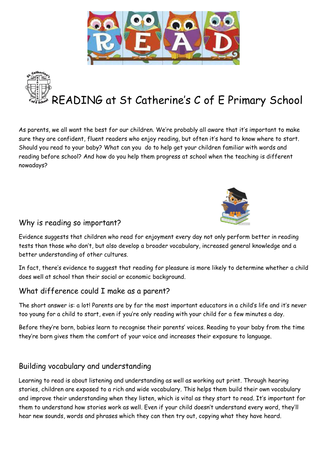

READING at St Catherine's C of E Primary School

As parents, we all want the best for our children. We're probably all aware that it's important to make sure they are confident, fluent readers who enjoy reading, but often it's hard to know where to start. Should you read to your baby? What can you do to help get your children familiar with words and reading before school? And how do you help them progress at school when the teaching is different nowadays?



### Why is reading so important?

Evidence suggests that children who read for enjoyment every day not only perform better in reading tests than those who don't, but also develop a broader vocabulary, increased general knowledge and a better understanding of other cultures.

In fact, there's evidence to suggest that reading for pleasure is more likely to determine whether a child does well at school than their social or economic background.

### What difference could I make as a parent?

The short answer is: a lot! Parents are by far the most important educators in a child's life and it's never too young for a child to start, even if you're only reading with your child for a few minutes a day.

Before they're born, babies learn to recognise their parents' voices. Reading to your baby from the time they're born gives them the comfort of your voice and increases their exposure to language.

# Building vocabulary and understanding

Learning to read is about listening and understanding as well as working out print. Through hearing stories, children are exposed to a rich and wide vocabulary. This helps them build their own vocabulary and improve their understanding when they listen, which is vital as they start to read. It's important for them to understand how stories work as well. Even if your child doesn't understand every word, they'll hear new sounds, words and phrases which they can then try out, copying what they have heard.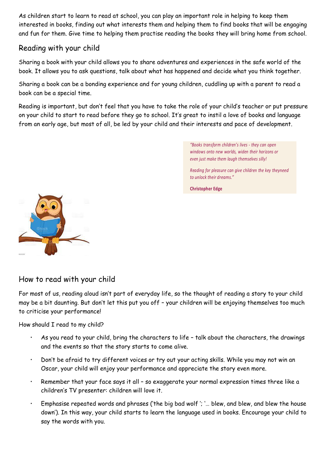As children start to learn to read at school, you can play an important role in helping to keep them interested in books, finding out what interests them and helping them to find books that will be engaging and fun for them. Give time to helping them practise reading the books they will bring home from school.

### Reading with your child

Sharing a book with your child allows you to share adventures and experiences in the safe world of the book. It allows you to ask questions, talk about what has happened and decide what you think together.

Sharing a book can be a bonding experience and for young children, cuddling up with a parent to read a book can be a special time.

Reading is important, but don't feel that you have to take the role of your child's teacher or put pressure on your child to start to read before they go to school. It's great to instil a love of books and language from an early age, but most of all, be led by your child and their interests and pace of development.

> *"Books transform children's lives - they can open windows onto new worlds, widen their horizons or even just make them laugh themselves silly!*

*Reading for pleasure can give children the key theyneed to unlock their dreams."*

**Christopher Edge**



How to read with your child

For most of us, reading aloud isn't part of everyday life, so the thought of reading a story to your child may be a bit daunting. But don't let this put you off – your children will be enjoying themselves too much to criticise your performance!

How should I read to my child?

- As you read to your child, bring the characters to life talk about the characters, the drawings and the events so that the story starts to come alive.
- Don't be afraid to try different voices or try out your acting skills. While you may not win an Oscar, your child will enjoy your performance and appreciate the story even more.
- Remember that your face says it all so exaggerate your normal expression times three like a children's TV presenter: children will love it.
- Emphasise repeated words and phrases ('the big bad wolf '; '… blew, and blew, and blew the house down'). In this way, your child starts to learn the language used in books. Encourage your child to say the words with you.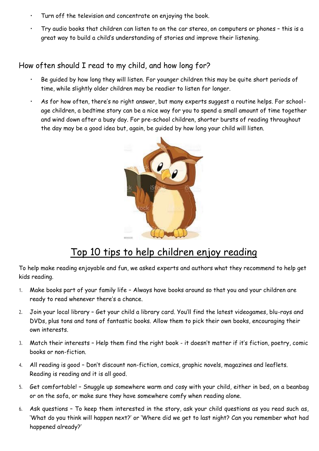- Turn off the television and concentrate on enjoying the book.
- Try audio books that children can listen to on the car stereo, on computers or phones this is a great way to build a child's understanding of stories and improve their listening.

### How often should I read to my child, and how long for?

- Be guided by how long they will listen. For younger children this may be quite short periods of time, while slightly older children may be readier to listen for longer.
- As for how often, there's no right answer, but many experts suggest a routine helps. For schoolage children, a bedtime story can be a nice way for you to spend a small amount of time together and wind down after a busy day. For pre-school children, shorter bursts of reading throughout the day may be a good idea but, again, be guided by how long your child will listen.



# Top 10 tips to help children enjoy reading

To help make reading enjoyable and fun, we asked experts and authors what they recommend to help get kids reading.

- 1. Make books part of your family life Always have books around so that you and your children are ready to read whenever there's a chance.
- 2. Join your local library Get your child a library card. You'll find the latest videogames, blu-rays and DVDs, plus tons and tons of fantastic books. Allow them to pick their own books, encouraging their own interests.
- 3. Match their interests Help them find the right book it doesn't matter if it's fiction, poetry, comic books or non-fiction.
- 4. All reading is good Don't discount non-fiction, comics, graphic novels, magazines and leaflets. Reading is reading and it is all good.
- 5. Get comfortable! Snuggle up somewhere warm and cosy with your child, either in bed, on a beanbag or on the sofa, or make sure they have somewhere comfy when reading alone.
- 6. Ask questions To keep them interested in the story, ask your child questions as you read such as, 'What do you think will happen next?' or 'Where did we get to last night? Can you remember what had happened already?'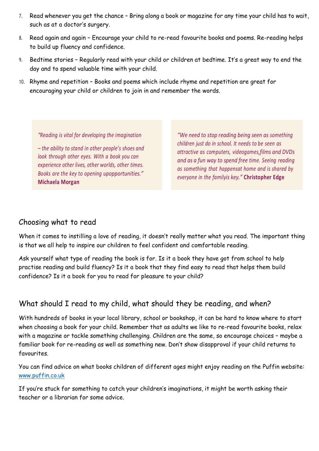- 7. Read whenever you get the chance Bring along a book or magazine for any time your child has to wait, such as at a doctor's surgery.
- 8. Read again and again Encourage your child to re-read favourite books and poems. Re-reading helps to build up fluency and confidence.
- 9. Bedtime stories Regularly read with your child or children at bedtime. It's a great way to end the day and to spend valuable time with your child.
- 10. Rhyme and repetition Books and poems which include rhyme and repetition are great for encouraging your child or children to join in and remember the words.

*"Reading is vital for developing the imagination*

*– the ability to stand in other people's shoes and look through other eyes. With a book you can experience other lives, other worlds, other times. Books are the key to opening upopportunities."* **Michaela Morgan**

*"We need to stop reading being seen as something children just do in school. It needs to be seen as attractive as computers, videogames,films and DVDs and as a fun way to spend free time. Seeing reading as something that happensat home and is shared by everyone in the familyis key."* **Christopher Edge**

#### Choosing what to read

When it comes to instilling a love of reading, it doesn't really matter what you read. The important thing is that we all help to inspire our children to feel confident and comfortable reading.

Ask yourself what type of reading the book is for. Is it a book they have got from school to help practise reading and build fluency? Is it a book that they find easy to read that helps them build confidence? Is it a book for you to read for pleasure to your child?

# What should I read to my child, what should they be reading, and when?

With hundreds of books in your local library, school or bookshop, it can be hard to know where to start when choosing a book for your child. Remember that as adults we like to re-read favourite books, relax with a magazine or tackle something challenging. Children are the same, so encourage choices – maybe a familiar book for re-reading as well as something new. Don't show disapproval if your child returns to favourites.

You can find advice on what books children of different ages might enjoy reading on the Puffin website: [www.puffin.co.uk](http://www.puffin.co.uk/)

If you're stuck for something to catch your children's imaginations, it might be worth asking their teacher or a librarian for some advice.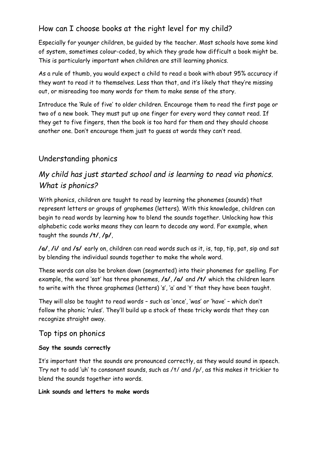# How can I choose books at the right level for my child?

Especially for younger children, be guided by the teacher. Most schools have some kind of system, sometimes colour-coded, by which they grade how difficult a book might be. This is particularly important when children are still learning phonics.

As a rule of thumb, you would expect a child to read a book with about 95% accuracy if they want to read it to themselves. Less than that, and it's likely that they're missing out, or misreading too many words for them to make sense of the story.

Introduce the 'Rule of five' to older children. Encourage them to read the first page or two of a new book. They must put up one finger for every word they cannot read. If they get to five fingers, then the book is too hard for them and they should choose another one. Don't encourage them just to guess at words they can't read.

### Understanding phonics

# *My child has just started school and is learning to read via phonics. What is phonics?*

With phonics, children are taught to read by learning the phonemes (sounds) that represent letters or groups of graphemes (letters). With this knowledge, children can begin to read words by learning how to blend the sounds together. Unlocking how this alphabetic code works means they can learn to decode any word. For example, when taught the sounds **/t/**, **/p/**,

**/a/**, **/i/** and **/s/** early on, children can read words such as it, is, tap, tip, pat, sip and sat by blending the individual sounds together to make the whole word.

These words can also be broken down (segmented) into their phonemes for spelling. For example, the word 'sat' has three phonemes, **/s/**, **/a/** and **/t/** which the children learn to write with the three graphemes (letters) 's', 'a' and 't' that they have been taught.

They will also be taught to read words – such as 'once', 'was' or 'have' – which don't follow the phonic 'rules'. They'll build up a stock of these tricky words that they can recognize straight away.

#### Top tips on phonics

#### **Say the sounds correctly**

It's important that the sounds are pronounced correctly, as they would sound in speech. Try not to add 'uh' to consonant sounds, such as /t/ and /p/, as this makes it trickier to blend the sounds together into words.

#### **Link sounds and letters to make words**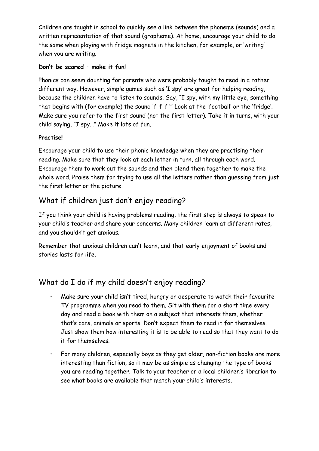Children are taught in school to quickly see a link between the phoneme (sounds) and a written representation of that sound (grapheme). At home, encourage your child to do the same when playing with fridge magnets in the kitchen, for example, or 'writing' when you are writing.

#### **Don't be scared – make it fun!**

Phonics can seem daunting for parents who were probably taught to read in a rather different way. However, simple games such as 'I spy' are great for helping reading, because the children have to listen to sounds. Say, "I spy, with my little eye, something that begins with (for example) the sound 'f-f-f '" Look at the 'football' or the 'fridge'. Make sure you refer to the first sound (not the first letter). Take it in turns, with your child saying, "I spy…" Make it lots of fun.

#### **Practise!**

Encourage your child to use their phonic knowledge when they are practising their reading. Make sure that they look at each letter in turn, all through each word. Encourage them to work out the sounds and then blend them together to make the whole word. Praise them for trying to use all the letters rather than guessing from just the first letter or the picture.

# What if children just don't enjoy reading?

If you think your child is having problems reading, the first step is always to speak to your child's teacher and share your concerns. Many children learn at different rates, and you shouldn't get anxious.

Remember that anxious children can't learn, and that early enjoyment of books and stories lasts for life.

# What do I do if my child doesn't enjoy reading?

- Make sure your child isn't tired, hungry or desperate to watch their favourite TV programme when you read to them. Sit with them for a short time every day and read a book with them on a subject that interests them, whether that's cars, animals or sports. Don't expect them to read it for themselves. Just show them how interesting it is to be able to read so that they want to do it for themselves.
- For many children, especially boys as they get older, non-fiction books are more interesting than fiction, so it may be as simple as changing the type of books you are reading together. Talk to your teacher or a local children's librarian to see what books are available that match your child's interests.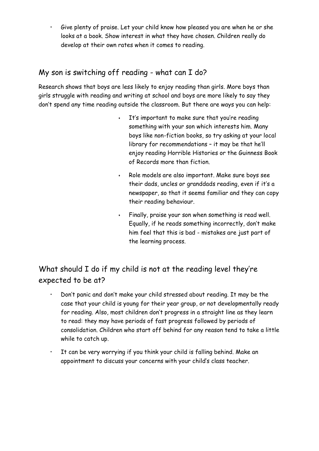• Give plenty of praise. Let your child know how pleased you are when he or she looks at a book. Show interest in what they have chosen. Children really do develop at their own rates when it comes to reading.

# My son is switching off reading - what can I do?

Research shows that boys are less likely to enjoy reading than girls. More boys than girls struggle with reading and writing at school and boys are more likely to say they don't spend any time reading outside the classroom. But there are ways you can help:

- It's important to make sure that you're reading something with your son which interests him. Many boys like non-fiction books, so try asking at your local library for recommendations – it may be that he'll enjoy reading Horrible Histories or the Guinness Book of Records more than fiction.
- Role models are also important. Make sure boys see their dads, uncles or granddads reading, even if it's a newspaper, so that it seems familiar and they can copy their reading behaviour.
- Finally, praise your son when something is read well. Equally, if he reads something incorrectly, don't make him feel that this is bad - mistakes are just part of the learning process.

# What should I do if my child is not at the reading level they're expected to be at?

- Don't panic and don't make your child stressed about reading. It may be the case that your child is young for their year group, or not developmentally ready for reading. Also, most children don't progress in a straight line as they learn to read: they may have periods of fast progress followed by periods of consolidation. Children who start off behind for any reason tend to take a little while to catch up.
- It can be very worrying if you think your child is falling behind. Make an appointment to discuss your concerns with your child's class teacher.